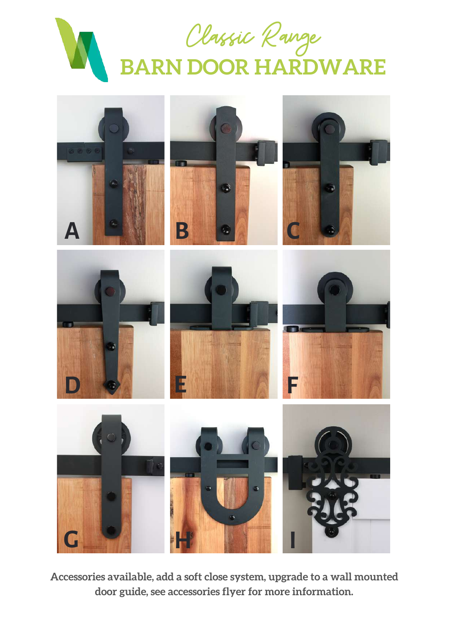



**Accessories available, add a soft close system, upgrade to a wall mounted door guide, see accessories flyer for more information.**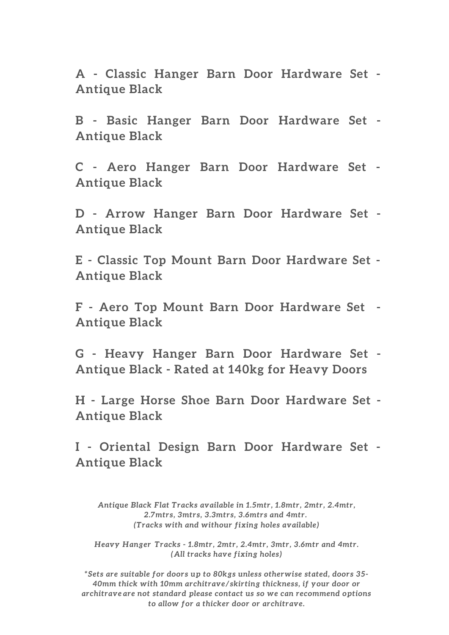**A - Classic Hanger Barn Door Hardware Set - Antique Black**

**B - Basic Hanger Barn Door Hardware Set - Antique Black**

**C - Aero Hanger Barn Door Hardware Set - Antique Black**

**D - Arrow Hanger Barn Door Hardware Set - Antique Black**

**E - Classic Top Mount Barn Door Hardware Set - Antique Black**

**F - Aero Top Mount Barn Door Hardware Set - Antique Black**

**G - Heavy Hanger Barn Door Hardware Set - Antique Black - Rated at 140kg for Heavy Doors**

**H - Large Horse Shoe Barn Door Hardware Set - Antique Black**

**I - Oriental Design Barn Door Hardware Set - Antique Black**

*Antique Black Flat Tracks available in 1.5mtr, 1.8mtr, 2mtr, 2.4mtr, 2.7mtrs, 3mtrs, 3.3mtrs, 3.6mtrs and 4mtr. (Tracks with and withour fixing holes available)*

*Heavy Hanger Tracks - 1.8mtr, 2mtr, 2.4mtr, 3mtr, 3.6mtr and 4mtr. (All tracks have fixing holes)*

*\*Sets are suitable for doors up to 80kgs unless otherwise stated, doors 35- 40mm thick with 10mm architrave/skirting thickness, if your door or architrave are not standard please contact us so we can recommend options to allow for a thicker door or architrave.*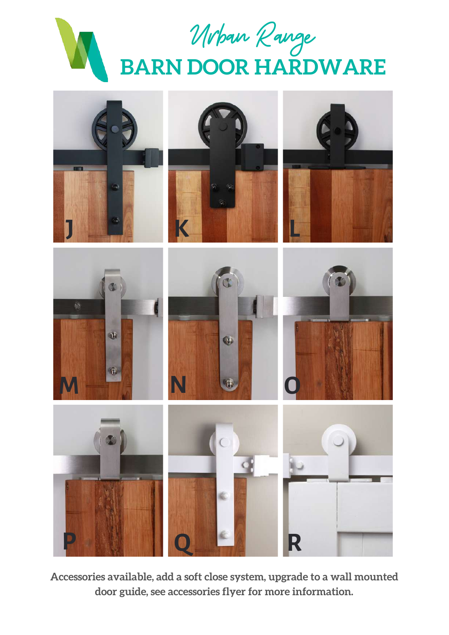



**Accessories available, add a soft close system, upgrade to a wall mounted door guide, see accessories flyer for more information.**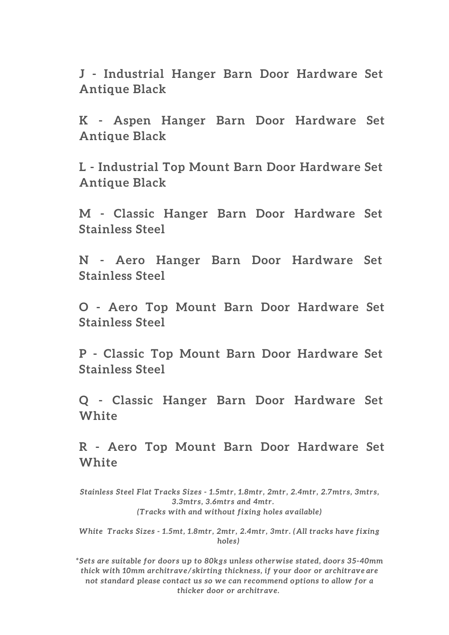**J - Industrial Hanger Barn Door Hardware Set Antique Black**

**K - Aspen Hanger Barn Door Hardware Set Antique Black**

**L - Industrial Top Mount Barn Door Hardware Set Antique Black**

**M - Classic Hanger Barn Door Hardware Set Stainless Steel**

**N - Aero Hanger Barn Door Hardware Set Stainless Steel**

**O - Aero Top Mount Barn Door Hardware Set Stainless Steel**

**P - Classic Top Mount Barn Door Hardware Set Stainless Steel**

**Q - Classic Hanger Barn Door Hardware Set White**

**R - Aero Top Mount Barn Door Hardware Set White**

*Stainless Steel Flat Tracks Sizes - 1.5mtr, 1.8mtr, 2mtr, 2.4mtr, 2.7mtrs, 3mtrs, 3.3mtrs, 3.6mtrs and 4mtr. (Tracks with and without fixing holes available)*

*White Tracks Sizes - 1.5mt, 1.8mtr, 2mtr, 2.4mtr, 3mtr. (All tracks have fixing holes)*

*\*Sets are suitable for doors up to 80kgs unless otherwise stated, doors 35-40mm thick with 10mm architrave/skirting thickness, if your door or architrave are not standard please contact us so we can recommend options to allow for a thicker door or architrave.*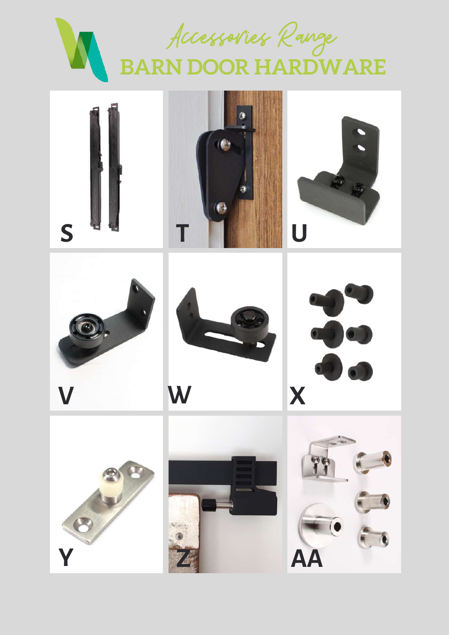